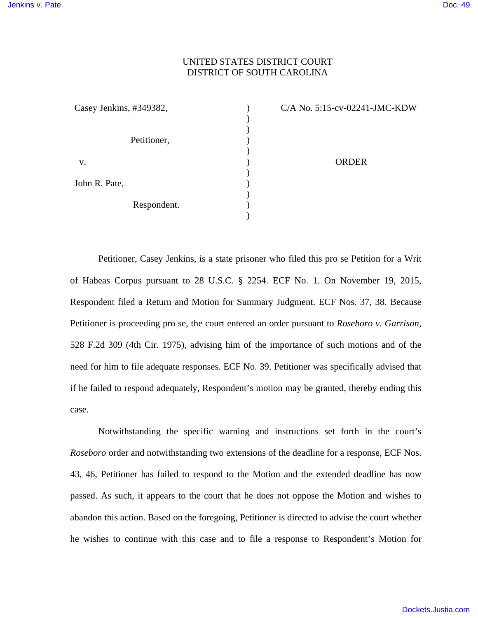## UNITED STATES DISTRICT COURT DISTRICT OF SOUTH CAROLINA

) ) ) ) ) ) ) ) ) ) )

| Casey Jenkins, #349382, |             |
|-------------------------|-------------|
|                         | Petitioner, |
| V.                      |             |
| John R. Pate,           |             |
|                         | Respondent. |

C/A No. 5:15-cv-02241-JMC-KDW

ORDER

Petitioner, Casey Jenkins, is a state prisoner who filed this pro se Petition for a Writ of Habeas Corpus pursuant to 28 U.S.C. § 2254. ECF No. 1. On November 19, 2015, Respondent filed a Return and Motion for Summary Judgment. ECF Nos. 37, 38. Because Petitioner is proceeding pro se, the court entered an order pursuant to *Roseboro v. Garrison*, 528 F.2d 309 (4th Cir. 1975), advising him of the importance of such motions and of the need for him to file adequate responses. ECF No. 39. Petitioner was specifically advised that if he failed to respond adequately, Respondent's motion may be granted, thereby ending this case.

Notwithstanding the specific warning and instructions set forth in the court's *Roseboro* order and notwithstanding two extensions of the deadline for a response, ECF Nos. 43, 46, Petitioner has failed to respond to the Motion and the extended deadline has now passed. As such, it appears to the court that he does not oppose the Motion and wishes to abandon this action. Based on the foregoing, Petitioner is directed to advise the court whether he wishes to continue with this case and to file a response to Respondent's Motion for